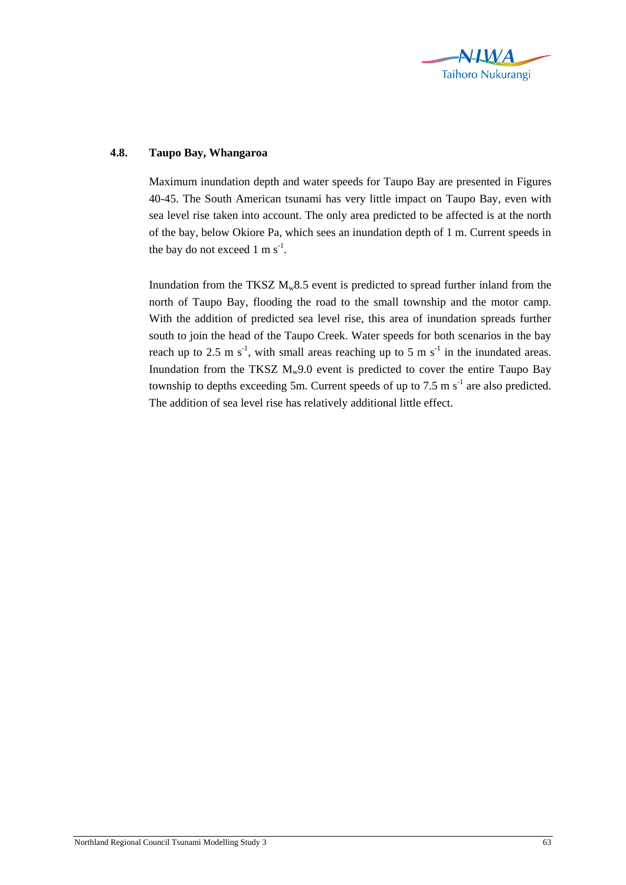

## **4.8. Taupo Bay, Whangaroa**

Maximum inundation depth and water speeds for Taupo Bay are presented in Figures 40-45. The South American tsunami has very little impact on Taupo Bay, even with sea level rise taken into account. The only area predicted to be affected is at the north of the bay, below Okiore Pa, which sees an inundation depth of 1 m. Current speeds in the bay do not exceed  $1 \text{ m s}^{-1}$ .

Inundation from the TKSZ  $M_w8.5$  event is predicted to spread further inland from the north of Taupo Bay, flooding the road to the small township and the motor camp. With the addition of predicted sea level rise, this area of inundation spreads further south to join the head of the Taupo Creek. Water speeds for both scenarios in the bay reach up to 2.5 m s<sup>-1</sup>, with small areas reaching up to 5 m s<sup>-1</sup> in the inundated areas. Inundation from the TKSZ  $M_w$ 9.0 event is predicted to cover the entire Taupo Bay township to depths exceeding 5m. Current speeds of up to 7.5 m  $s^{-1}$  are also predicted. The addition of sea level rise has relatively additional little effect.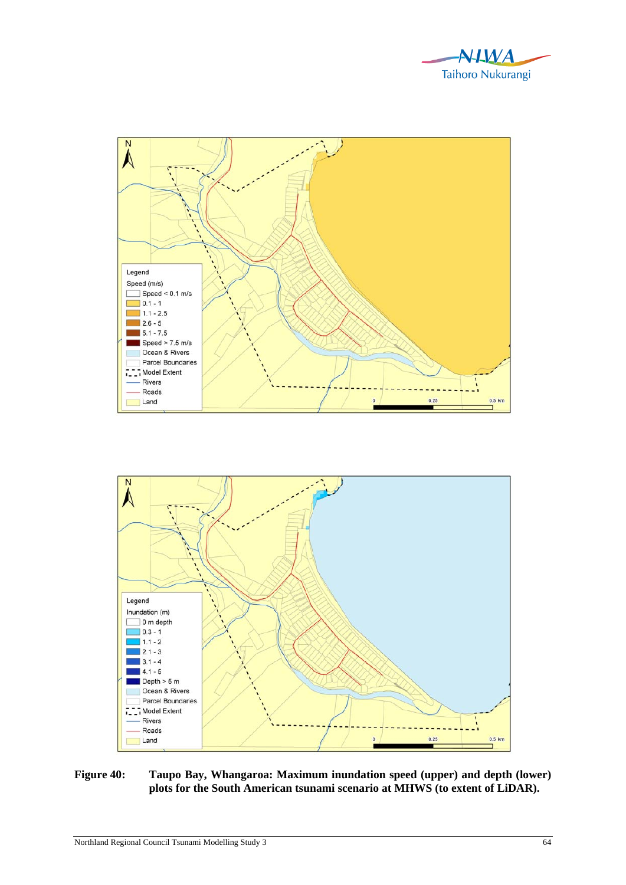





## **Figure 40: Taupo Bay, Whangaroa: Maximum inundation speed (upper) and depth (lower) plots for the South American tsunami scenario at MHWS (to extent of LiDAR).**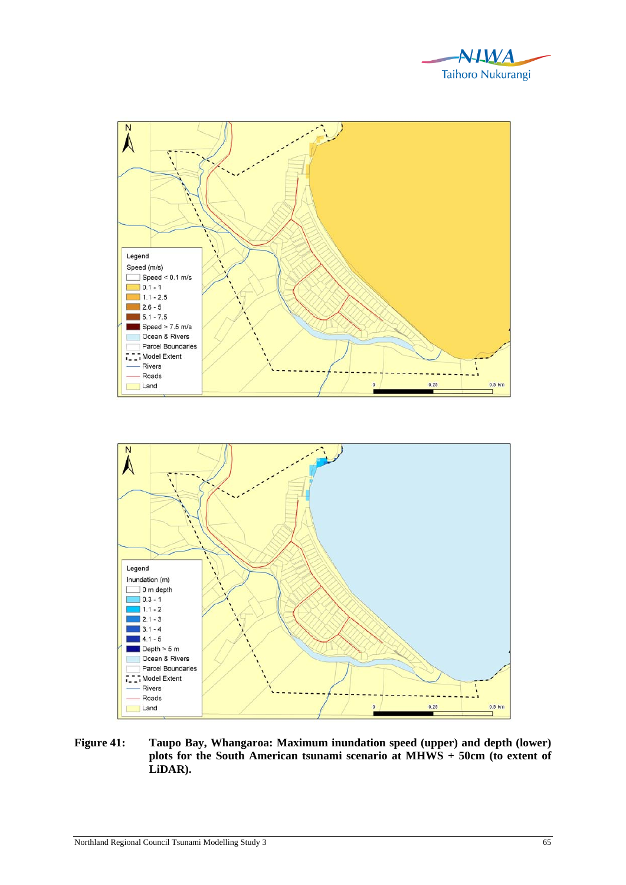





**Figure 41: Taupo Bay, Whangaroa: Maximum inundation speed (upper) and depth (lower) plots for the South American tsunami scenario at MHWS + 50cm (to extent of LiDAR).**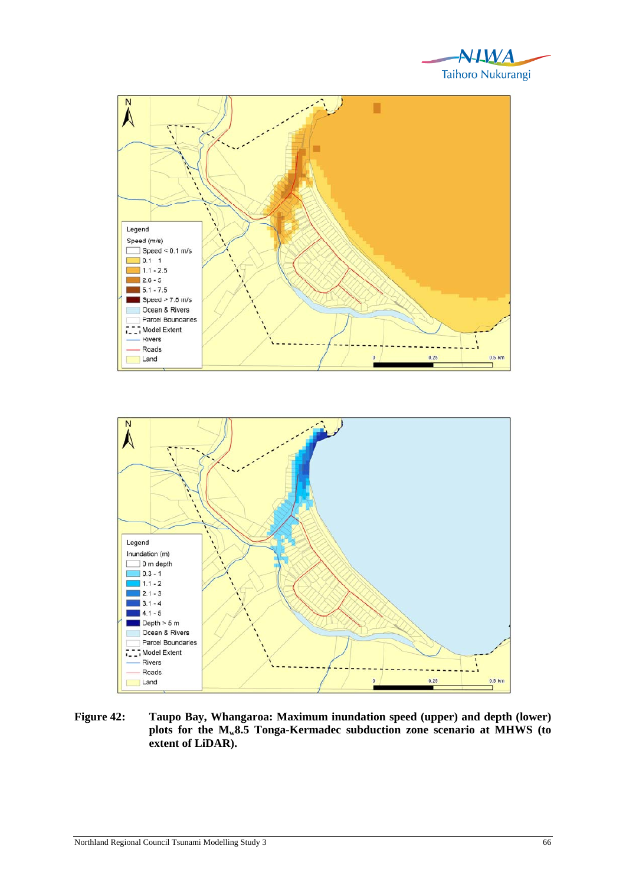





**Figure 42: Taupo Bay, Whangaroa: Maximum inundation speed (upper) and depth (lower) plots for the Mw8.5 Tonga-Kermadec subduction zone scenario at MHWS (to extent of LiDAR).** 

Depth  $> 5 m$ Ocean & Rivers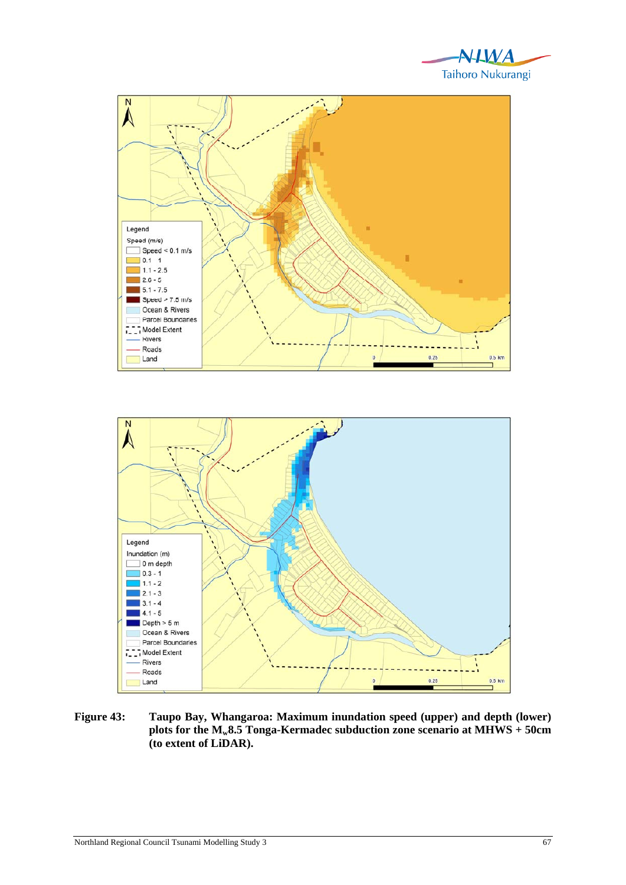





**Figure 43: Taupo Bay, Whangaroa: Maximum inundation speed (upper) and depth (lower) plots for the Mw8.5 Tonga-Kermadec subduction zone scenario at MHWS + 50cm (to extent of LiDAR).**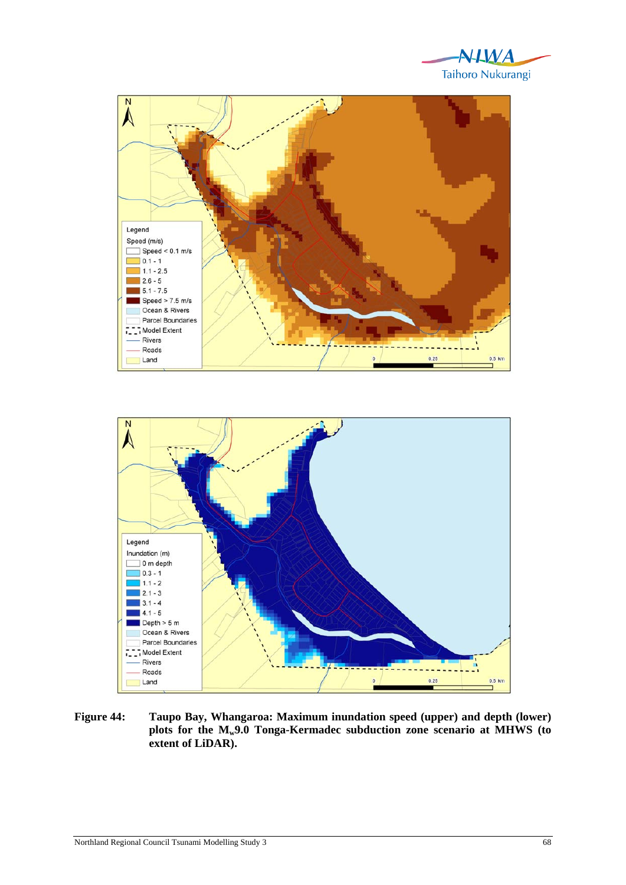





**Figure 44: Taupo Bay, Whangaroa: Maximum inundation speed (upper) and depth (lower) plots for the Mw9.0 Tonga-Kermadec subduction zone scenario at MHWS (to extent of LiDAR).**